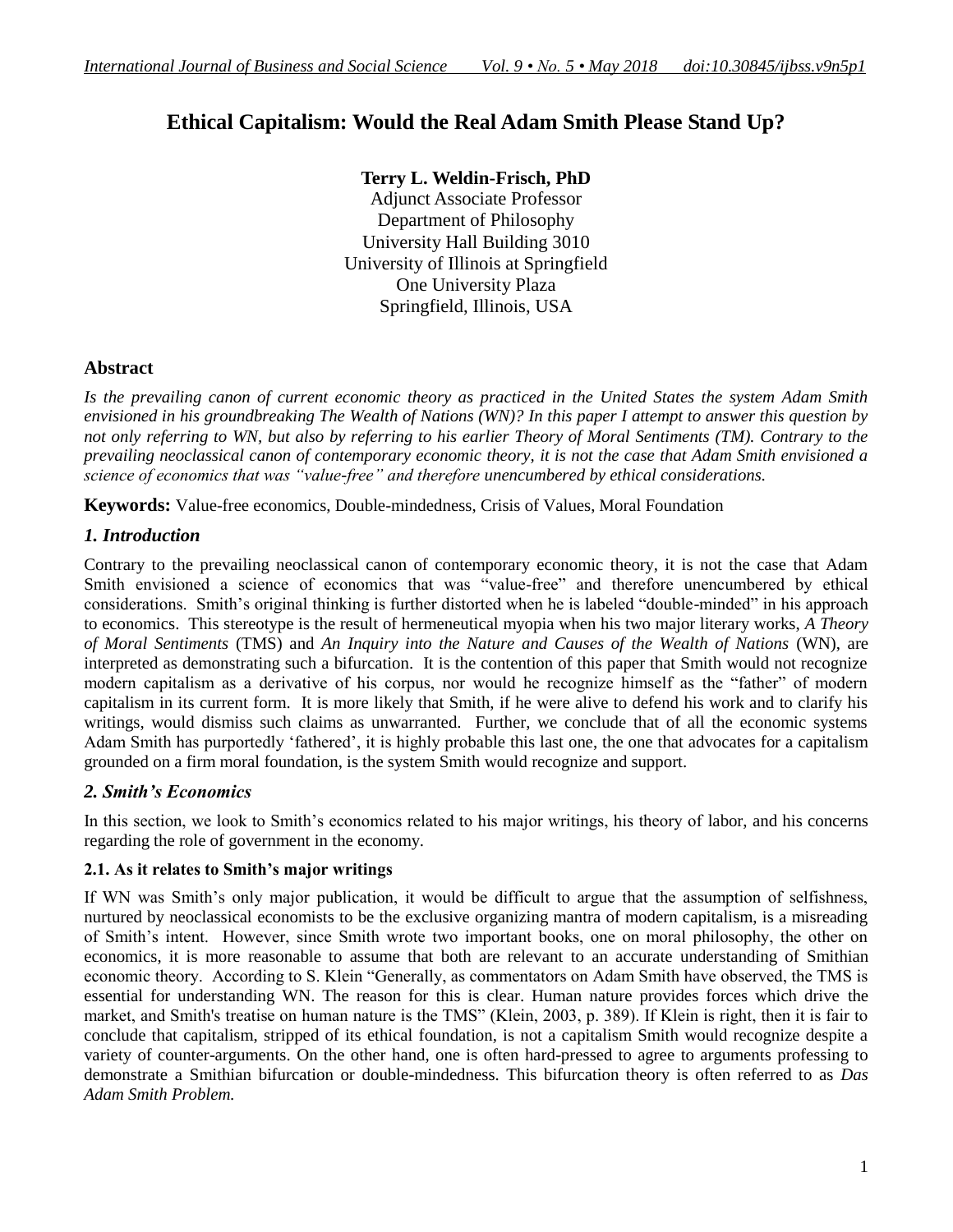# **Ethical Capitalism: Would the Real Adam Smith Please Stand Up?**

# **Terry L. Weldin-Frisch, PhD**

Adjunct Associate Professor Department of Philosophy University Hall Building 3010 University of Illinois at Springfield One University Plaza Springfield, Illinois, USA

# **Abstract**

*Is the prevailing canon of current economic theory as practiced in the United States the system Adam Smith envisioned in his groundbreaking The Wealth of Nations (WN)? In this paper I attempt to answer this question by not only referring to WN, but also by referring to his earlier Theory of Moral Sentiments (TM). Contrary to the prevailing neoclassical canon of contemporary economic theory, it is not the case that Adam Smith envisioned a science of economics that was "value-free" and therefore unencumbered by ethical considerations.* 

**Keywords:** Value-free economics, Double-mindedness, Crisis of Values, Moral Foundation

# *1. Introduction*

Contrary to the prevailing neoclassical canon of contemporary economic theory, it is not the case that Adam Smith envisioned a science of economics that was "value-free" and therefore unencumbered by ethical considerations. Smith's original thinking is further distorted when he is labeled "double-minded" in his approach to economics. This stereotype is the result of hermeneutical myopia when his two major literary works, *A Theory of Moral Sentiments* (TMS) and *[An Inquiry into the Nature and Causes of the Wealth of Nations](http://en.wikipedia.org/wiki/The_Wealth_of_Nations)* (WN), are interpreted as demonstrating such a bifurcation. It is the contention of this paper that Smith would not recognize modern capitalism as a derivative of his corpus, nor would he recognize himself as the "father" of modern capitalism in its current form. It is more likely that Smith, if he were alive to defend his work and to clarify his writings, would dismiss such claims as unwarranted. Further, we conclude that of all the economic systems Adam Smith has purportedly 'fathered', it is highly probable this last one, the one that advocates for a capitalism grounded on a firm moral foundation, is the system Smith would recognize and support.

## *2. Smith's Economics*

In this section, we look to Smith's economics related to his major writings, his theory of labor, and his concerns regarding the role of government in the economy.

## **2.1. As it relates to Smith's major writings**

If WN was Smith's only major publication, it would be difficult to argue that the assumption of selfishness, nurtured by neoclassical economists to be the exclusive organizing mantra of modern capitalism, is a misreading of Smith's intent. However, since Smith wrote two important books, one on moral philosophy, the other on economics, it is more reasonable to assume that both are relevant to an accurate understanding of Smithian economic theory. According to S. Klein "Generally, as commentators on Adam Smith have observed, the TMS is essential for understanding WN. The reason for this is clear. Human nature provides forces which drive the market, and Smith's treatise on human nature is the TMS" (Klein, 2003, p. 389). If Klein is right, then it is fair to conclude that capitalism, stripped of its ethical foundation, is not a capitalism Smith would recognize despite a variety of counter-arguments. On the other hand, one is often hard-pressed to agree to arguments professing to demonstrate a Smithian bifurcation or double-mindedness. This bifurcation theory is often referred to as *Das Adam Smith Problem.*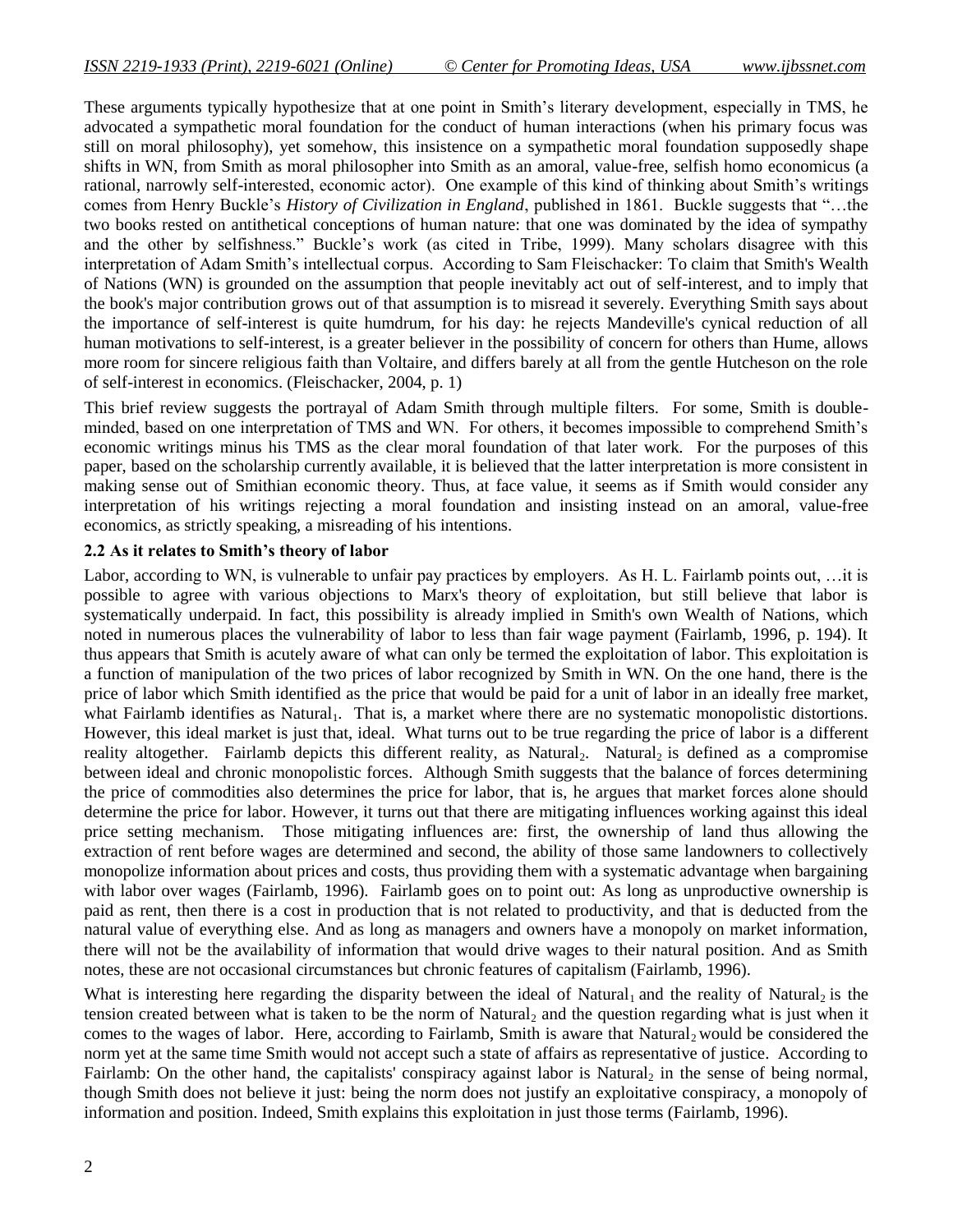These arguments typically hypothesize that at one point in Smith's literary development, especially in TMS, he advocated a sympathetic moral foundation for the conduct of human interactions (when his primary focus was still on moral philosophy), yet somehow, this insistence on a sympathetic moral foundation supposedly shape shifts in WN, from Smith as moral philosopher into Smith as an amoral, value-free, selfish homo economicus (a rational, narrowly self-interested, economic actor). One example of this kind of thinking about Smith's writings comes from Henry Buckle's *History of Civilization in England*, published in 1861. Buckle suggests that "...the two books rested on antithetical conceptions of human nature: that one was dominated by the idea of sympathy and the other by selfishness." Buckle's work (as cited in Tribe, 1999). Many scholars disagree with this interpretation of Adam Smith's intellectual corpus. According to Sam Fleischacker: To claim that Smith's [Wealth](http://www.econlib.org/library/Smith/smWN.html)  [of Nations](http://www.econlib.org/library/Smith/smWN.html) [\(WN\)](http://www.econlib.org/cgi-bin/printarticle2.pl?file=Columns/y2004/FleischackerSmith.html#sources) is grounded on the assumption that people inevitably act out of self-interest, and to imply that the book's major contribution grows out of that assumption is to misread it severely. Everything Smith says about the importance of self-interest is quite humdrum, for his day: he rejects Mandeville's cynical reduction of all human motivations to self-interest, is a greater believer in the possibility of concern for others than Hume, allows more room for sincere religious faith than Voltaire, and differs barely at all from the gentle Hutcheson on the role of self-interest in economics. (Fleischacker, 2004, p. 1)

This brief review suggests the portrayal of Adam Smith through multiple filters. For some, Smith is doubleminded, based on one interpretation of TMS and WN. For others, it becomes impossible to comprehend Smith's economic writings minus his TMS as the clear moral foundation of that later work. For the purposes of this paper, based on the scholarship currently available, it is believed that the latter interpretation is more consistent in making sense out of Smithian economic theory. Thus, at face value, it seems as if Smith would consider any interpretation of his writings rejecting a moral foundation and insisting instead on an amoral, value-free economics, as strictly speaking, a misreading of his intentions.

#### **2.2 As it relates to Smith's theory of labor**

Labor, according to WN, is vulnerable to unfair pay practices by employers. As H. L. Fairlamb points out, …it is possible to agree with various objections to Marx's theory of exploitation, but still believe that labor is systematically underpaid. In fact, this possibility is already implied in Smith's own Wealth of Nations, which noted in numerous places the vulnerability of labor to less than fair wage payment (Fairlamb, 1996, p. 194). It thus appears that Smith is acutely aware of what can only be termed the exploitation of labor. This exploitation is a function of manipulation of the two prices of labor recognized by Smith in WN. On the one hand, there is the price of labor which Smith identified as the price that would be paid for a unit of labor in an ideally free market, what Fairlamb identifies as Natural<sub>1</sub>. That is, a market where there are no systematic monopolistic distortions. However, this ideal market is just that, ideal. What turns out to be true regarding the price of labor is a different reality altogether. Fairlamb depicts this different reality, as Natural<sub>2</sub>. Natural<sub>2</sub> is defined as a compromise between ideal and chronic monopolistic forces. Although Smith suggests that the balance of forces determining the price of commodities also determines the price for labor, that is, he argues that market forces alone should determine the price for labor. However, it turns out that there are mitigating influences working against this ideal price setting mechanism. Those mitigating influences are: first, the ownership of land thus allowing the extraction of rent before wages are determined and second, the ability of those same landowners to collectively monopolize information about prices and costs, thus providing them with a systematic advantage when bargaining with labor over wages (Fairlamb, 1996). Fairlamb goes on to point out: As long as unproductive ownership is paid as rent, then there is a cost in production that is not related to productivity, and that is deducted from the natural value of everything else. And as long as managers and owners have a monopoly on market information, there will not be the availability of information that would drive wages to their natural position. And as Smith notes, these are not occasional circumstances but chronic features of capitalism (Fairlamb, 1996).

What is interesting here regarding the disparity between the ideal of Natural<sub>1</sub> and the reality of Natural<sub>2</sub> is the tension created between what is taken to be the norm of Natural, and the question regarding what is just when it comes to the wages of labor. Here, according to Fairlamb, Smith is aware that Natural, would be considered the norm yet at the same time Smith would not accept such a state of affairs as representative of justice. According to Fairlamb: On the other hand, the capitalists' conspiracy against labor is Natural<sub>2</sub> in the sense of being normal, though Smith does not believe it just: being the norm does not justify an exploitative conspiracy, a monopoly of information and position. Indeed, Smith explains this exploitation in just those terms (Fairlamb, 1996).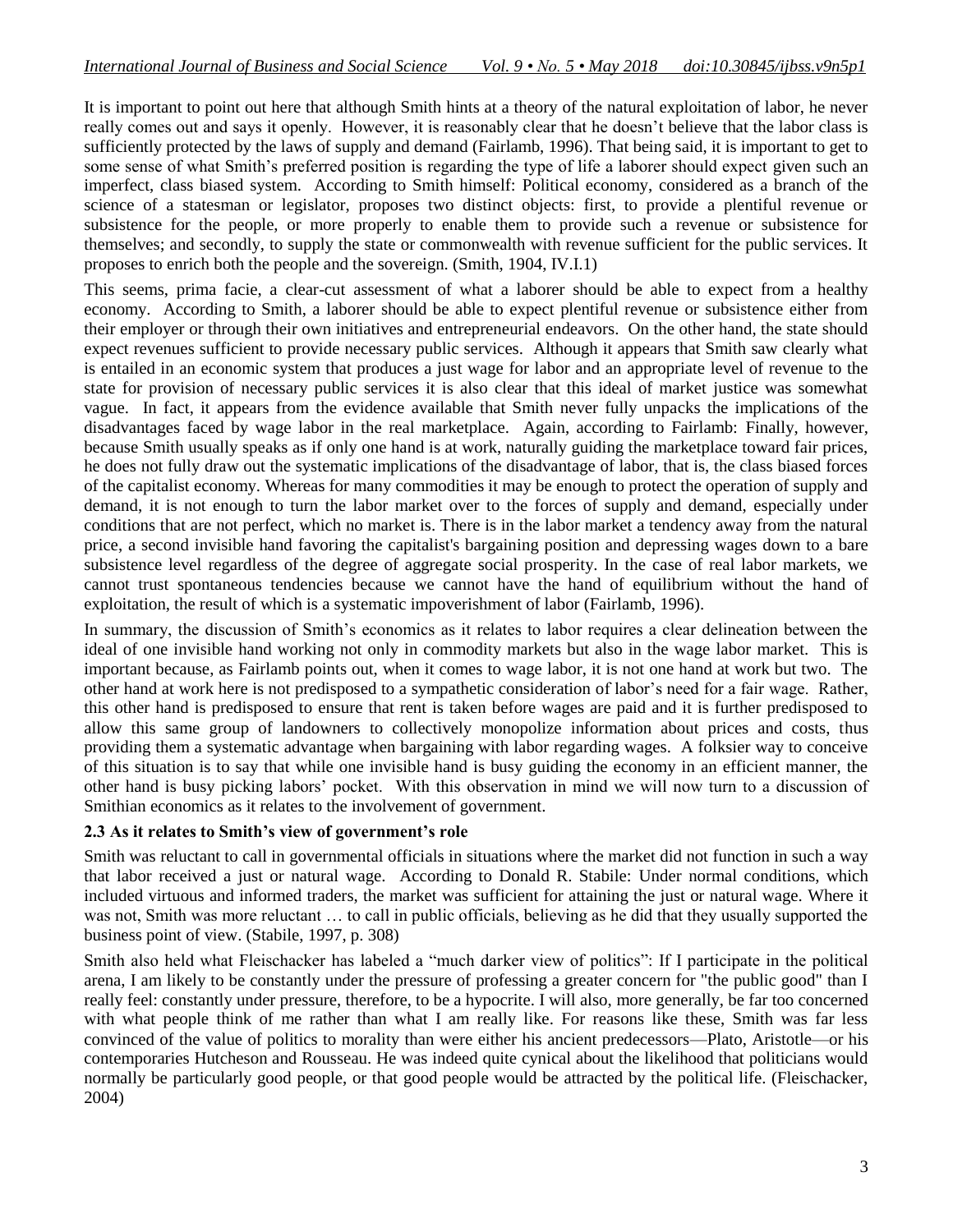It is important to point out here that although Smith hints at a theory of the natural exploitation of labor, he never really comes out and says it openly. However, it is reasonably clear that he doesn't believe that the labor class is sufficiently protected by the laws of supply and demand (Fairlamb, 1996). That being said, it is important to get to some sense of what Smith's preferred position is regarding the type of life a laborer should expect given such an imperfect, class biased system. According to Smith himself: Political economy, considered as a branch of the science of a statesman or legislator, proposes two distinct objects: first, to provide a plentiful revenue or subsistence for the people, or more properly to enable them to provide such a revenue or subsistence for themselves; and secondly, to supply the state or commonwealth with revenue sufficient for the public services. It proposes to enrich both the people and the sovereign. (Smith, 1904, IV.I.1)

This seems, prima facie, a clear-cut assessment of what a laborer should be able to expect from a healthy economy. According to Smith, a laborer should be able to expect plentiful revenue or subsistence either from their employer or through their own initiatives and entrepreneurial endeavors. On the other hand, the state should expect revenues sufficient to provide necessary public services. Although it appears that Smith saw clearly what is entailed in an economic system that produces a just wage for labor and an appropriate level of revenue to the state for provision of necessary public services it is also clear that this ideal of market justice was somewhat vague. In fact, it appears from the evidence available that Smith never fully unpacks the implications of the disadvantages faced by wage labor in the real marketplace. Again, according to Fairlamb: Finally, however, because Smith usually speaks as if only one hand is at work, naturally guiding the marketplace toward fair prices, he does not fully draw out the systematic implications of the disadvantage of labor, that is, the class biased forces of the capitalist economy. Whereas for many commodities it may be enough to protect the operation of supply and demand, it is not enough to turn the labor market over to the forces of supply and demand, especially under conditions that are not perfect, which no market is. There is in the labor market a tendency away from the natural price, a second invisible hand favoring the capitalist's bargaining position and depressing wages down to a bare subsistence level regardless of the degree of aggregate social prosperity. In the case of real labor markets, we cannot trust spontaneous tendencies because we cannot have the hand of equilibrium without the hand of exploitation, the result of which is a systematic impoverishment of labor (Fairlamb, 1996).

In summary, the discussion of Smith's economics as it relates to labor requires a clear delineation between the ideal of one invisible hand working not only in commodity markets but also in the wage labor market. This is important because, as Fairlamb points out, when it comes to wage labor, it is not one hand at work but two. The other hand at work here is not predisposed to a sympathetic consideration of labor's need for a fair wage. Rather, this other hand is predisposed to ensure that rent is taken before wages are paid and it is further predisposed to allow this same group of landowners to collectively monopolize information about prices and costs, thus providing them a systematic advantage when bargaining with labor regarding wages. A folksier way to conceive of this situation is to say that while one invisible hand is busy guiding the economy in an efficient manner, the other hand is busy picking labors' pocket. With this observation in mind we will now turn to a discussion of Smithian economics as it relates to the involvement of government.

## **2.3 As it relates to Smith's view of government's role**

Smith was reluctant to call in governmental officials in situations where the market did not function in such a way that labor received a just or natural wage. According to Donald R. Stabile: Under normal conditions, which included virtuous and informed traders, the market was sufficient for attaining the just or natural wage. Where it was not, Smith was more reluctant … to call in public officials, believing as he did that they usually supported the business point of view. (Stabile, 1997, p. 308)

Smith also held what Fleischacker has labeled a "much darker view of politics": If I participate in the political arena, I am likely to be constantly under the pressure of professing a greater concern for "the public good" than I really feel: constantly under pressure, therefore, to be a hypocrite. I will also, more generally, be far too concerned with what people think of me rather than what I am really like. For reasons like these, Smith was far less convinced of the value of politics to morality than were either his ancient predecessors—Plato, Aristotle—or his contemporaries Hutcheson and Rousseau. He was indeed quite cynical about the likelihood that politicians would normally be particularly good people, or that good people would be attracted by the political life. (Fleischacker, 2004)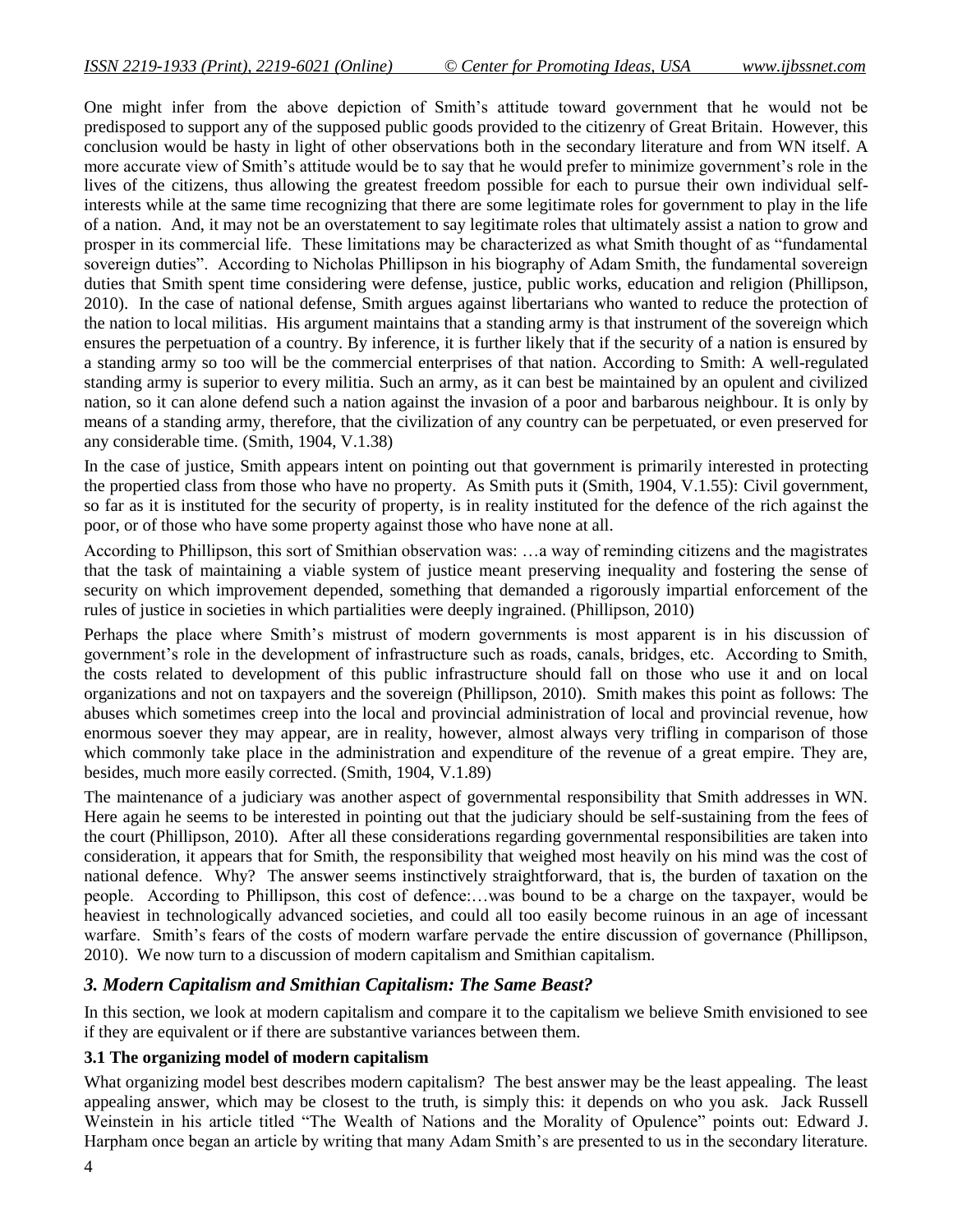One might infer from the above depiction of Smith's attitude toward government that he would not be predisposed to support any of the supposed public goods provided to the citizenry of Great Britain. However, this conclusion would be hasty in light of other observations both in the secondary literature and from WN itself. A more accurate view of Smith's attitude would be to say that he would prefer to minimize government's role in the lives of the citizens, thus allowing the greatest freedom possible for each to pursue their own individual selfinterests while at the same time recognizing that there are some legitimate roles for government to play in the life of a nation. And, it may not be an overstatement to say legitimate roles that ultimately assist a nation to grow and prosper in its commercial life. These limitations may be characterized as what Smith thought of as "fundamental" sovereign duties". According to Nicholas Phillipson in his biography of Adam Smith, the fundamental sovereign duties that Smith spent time considering were defense, justice, public works, education and religion (Phillipson, 2010). In the case of national defense, Smith argues against libertarians who wanted to reduce the protection of the nation to local militias. His argument maintains that a standing army is that instrument of the sovereign which ensures the perpetuation of a country. By inference, it is further likely that if the security of a nation is ensured by a standing army so too will be the commercial enterprises of that nation. According to Smith: A well-regulated standing army is superior to every militia. Such an army, as it can best be maintained by an opulent and civilized nation, so it can alone defend such a nation against the invasion of a poor and barbarous neighbour. It is only by means of a standing army, therefore, that the civilization of any country can be perpetuated, or even preserved for any considerable time. (Smith, 1904, V.1.38)

In the case of justice, Smith appears intent on pointing out that government is primarily interested in protecting the propertied class from those who have no property. As Smith puts it (Smith, 1904, V.1.55): Civil government, so far as it is instituted for the security of property, is in reality instituted for the defence of the rich against the poor, or of those who have some property against those who have none at all.

According to Phillipson, this sort of Smithian observation was: …a way of reminding citizens and the magistrates that the task of maintaining a viable system of justice meant preserving inequality and fostering the sense of security on which improvement depended, something that demanded a rigorously impartial enforcement of the rules of justice in societies in which partialities were deeply ingrained. (Phillipson, 2010)

Perhaps the place where Smith's mistrust of modern governments is most apparent is in his discussion of government's role in the development of infrastructure such as roads, canals, bridges, etc. According to Smith, the costs related to development of this public infrastructure should fall on those who use it and on local organizations and not on taxpayers and the sovereign (Phillipson, 2010). Smith makes this point as follows: The abuses which sometimes creep into the local and provincial administration of local and provincial revenue, how enormous soever they may appear, are in reality, however, almost always very trifling in comparison of those which commonly take place in the administration and expenditure of the revenue of a great empire. They are, besides, much more easily corrected. (Smith, 1904, V.1.89)

The maintenance of a judiciary was another aspect of governmental responsibility that Smith addresses in WN. Here again he seems to be interested in pointing out that the judiciary should be self-sustaining from the fees of the court (Phillipson, 2010). After all these considerations regarding governmental responsibilities are taken into consideration, it appears that for Smith, the responsibility that weighed most heavily on his mind was the cost of national defence. Why? The answer seems instinctively straightforward, that is, the burden of taxation on the people. According to Phillipson, this cost of defence:…was bound to be a charge on the taxpayer, would be heaviest in technologically advanced societies, and could all too easily become ruinous in an age of incessant warfare. Smith's fears of the costs of modern warfare pervade the entire discussion of governance (Phillipson, 2010). We now turn to a discussion of modern capitalism and Smithian capitalism.

## *3. Modern Capitalism and Smithian Capitalism: The Same Beast?*

In this section, we look at modern capitalism and compare it to the capitalism we believe Smith envisioned to see if they are equivalent or if there are substantive variances between them.

## **3.1 The organizing model of modern capitalism**

What organizing model best describes modern capitalism? The best answer may be the least appealing. The least appealing answer, which may be closest to the truth, is simply this: it depends on who you ask. Jack Russell Weinstein in his article titled "The Wealth of Nations and the Morality of Opulence" points out: Edward J. Harpham once began an article by writing that many Adam Smith's are presented to us in the secondary literature.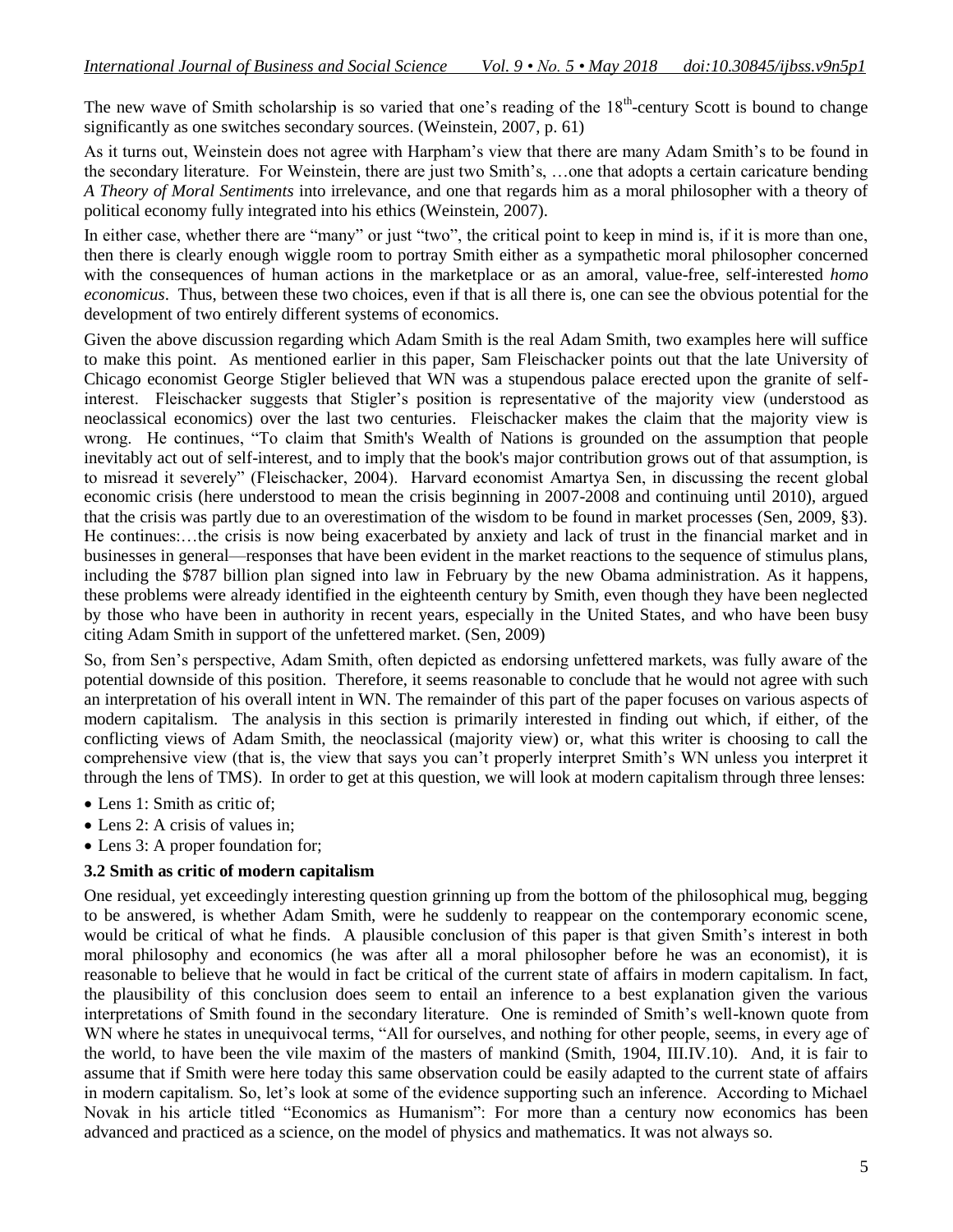The new wave of Smith scholarship is so varied that one's reading of the  $18<sup>th</sup>$ -century Scott is bound to change significantly as one switches secondary sources. (Weinstein, 2007, p. 61)

As it turns out, Weinstein does not agree with Harpham's view that there are many Adam Smith's to be found in the secondary literature. For Weinstein, there are just two Smith's, …one that adopts a certain caricature bending *A Theory of Moral Sentiments* into irrelevance, and one that regards him as a moral philosopher with a theory of political economy fully integrated into his ethics (Weinstein, 2007).

In either case, whether there are "many" or just "two", the critical point to keep in mind is, if it is more than one, then there is clearly enough wiggle room to portray Smith either as a sympathetic moral philosopher concerned with the consequences of human actions in the marketplace or as an amoral, value-free, self-interested *homo economicus*. Thus, between these two choices, even if that is all there is, one can see the obvious potential for the development of two entirely different systems of economics.

Given the above discussion regarding which Adam Smith is the real Adam Smith, two examples here will suffice to make this point. As mentioned earlier in this paper, Sam Fleischacker points out that the late University of Chicago economist George Stigler believed that WN was a stupendous palace erected upon the granite of selfinterest. Fleischacker suggests that Stigler's position is representative of the majority view (understood as neoclassical economics) over the last two centuries. Fleischacker makes the claim that the majority view is wrong. He continues, "To claim that Smith's [Wealth of Nations](http://www.econlib.org/library/Smith/smWN.html) is grounded on the assumption that people inevitably act out of self-interest, and to imply that the book's major contribution grows out of that assumption, is to misread it severely" (Fleischacker, 2004). Harvard economist Amartya Sen, in discussing the recent global economic crisis (here understood to mean the crisis beginning in 2007-2008 and continuing until 2010), argued that the crisis was partly due to an overestimation of the wisdom to be found in market processes (Sen, 2009, §3). He continues:…the crisis is now being exacerbated by anxiety and lack of trust in the financial market and in businesses in general—responses that have been evident in the market reactions to the sequence of stimulus plans, including the \$787 billion plan signed into law in February by the new Obama administration. As it happens, these problems were already identified in the eighteenth century by Smith, even though they have been neglected by those who have been in authority in recent years, especially in the United States, and who have been busy citing Adam Smith in support of the unfettered market. (Sen, 2009)

So, from Sen's perspective, Adam Smith, often depicted as endorsing unfettered markets, was fully aware of the potential downside of this position. Therefore, it seems reasonable to conclude that he would not agree with such an interpretation of his overall intent in WN. The remainder of this part of the paper focuses on various aspects of modern capitalism. The analysis in this section is primarily interested in finding out which, if either, of the conflicting views of Adam Smith, the neoclassical (majority view) or, what this writer is choosing to call the comprehensive view (that is, the view that says you can't properly interpret Smith's WN unless you interpret it through the lens of TMS). In order to get at this question, we will look at modern capitalism through three lenses:

- Lens 1: Smith as critic of;
- Lens 2: A crisis of values in:
- Lens 3: A proper foundation for;

#### **3.2 Smith as critic of modern capitalism**

One residual, yet exceedingly interesting question grinning up from the bottom of the philosophical mug, begging to be answered, is whether Adam Smith, were he suddenly to reappear on the contemporary economic scene, would be critical of what he finds. A plausible conclusion of this paper is that given Smith's interest in both moral philosophy and economics (he was after all a moral philosopher before he was an economist), it is reasonable to believe that he would in fact be critical of the current state of affairs in modern capitalism. In fact, the plausibility of this conclusion does seem to entail an inference to a best explanation given the various interpretations of Smith found in the secondary literature. One is reminded of Smith's well-known quote from WN where he states in unequivocal terms, "All for ourselves, and nothing for other people, seems, in every age of the world, to have been the vile maxim of the masters of mankind (Smith, 1904, III.IV.10). And, it is fair to assume that if Smith were here today this same observation could be easily adapted to the current state of affairs in modern capitalism. So, let's look at some of the evidence supporting such an inference. According to Michael Novak in his article titled "Economics as Humanism": For more than a century now economics has been advanced and practiced as a science, on the model of physics and mathematics. It was not always so.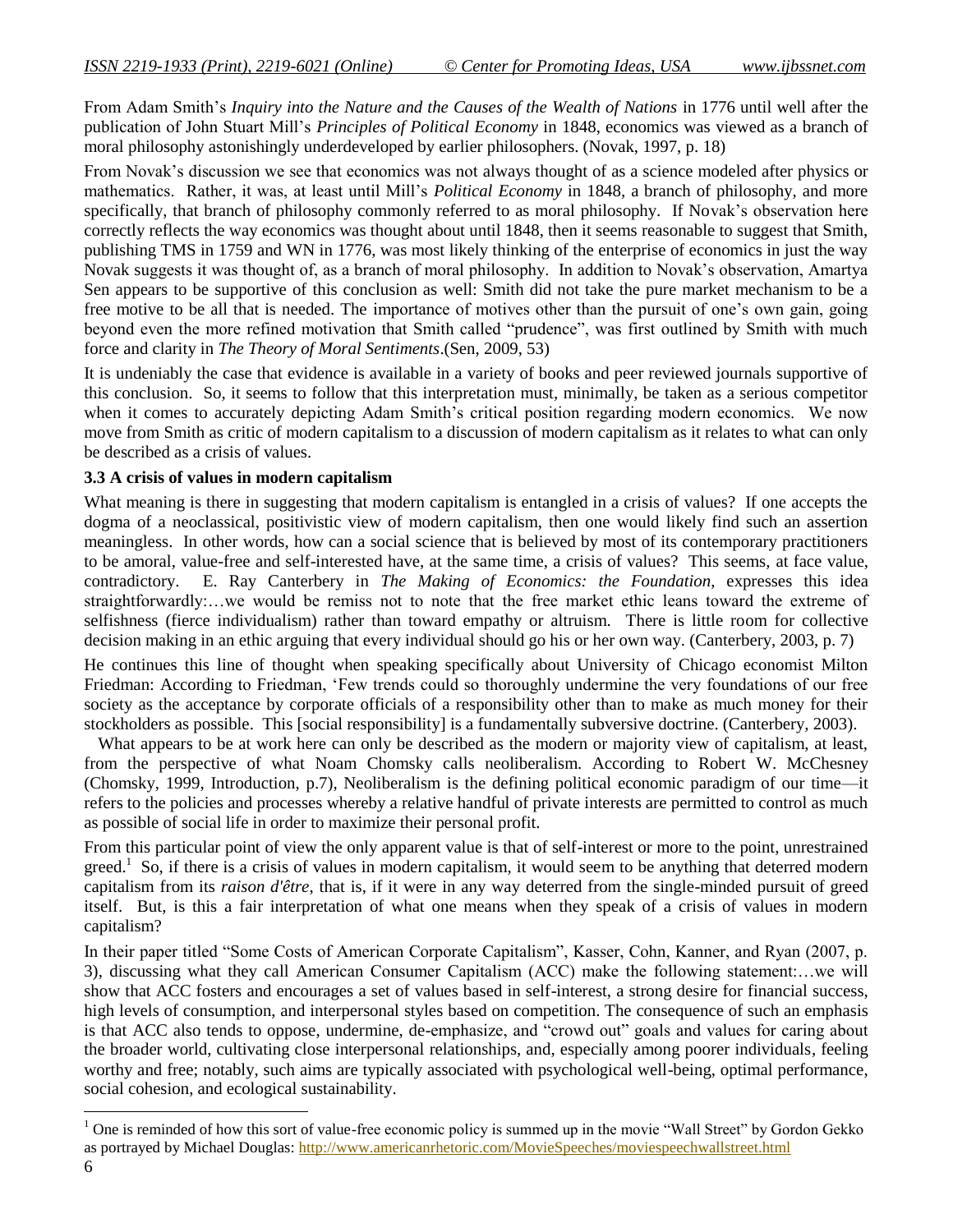From Adam Smith's *Inquiry into the Nature and the Causes of the Wealth of Nations* in 1776 until well after the publication of John Stuart Mill's *Principles of Political Economy* in 1848, economics was viewed as a branch of moral philosophy astonishingly underdeveloped by earlier philosophers. (Novak, 1997, p. 18)

From Novak's discussion we see that economics was not always thought of as a science modeled after physics or mathematics. Rather, it was, at least until Mill's *Political Economy* in 1848, a branch of philosophy, and more specifically, that branch of philosophy commonly referred to as moral philosophy. If Novak's observation here correctly reflects the way economics was thought about until 1848, then it seems reasonable to suggest that Smith, publishing TMS in 1759 and WN in 1776, was most likely thinking of the enterprise of economics in just the way Novak suggests it was thought of, as a branch of moral philosophy. In addition to Novak's observation, Amartya Sen appears to be supportive of this conclusion as well: Smith did not take the pure market mechanism to be a free motive to be all that is needed. The importance of motives other than the pursuit of one's own gain, going beyond even the more refined motivation that Smith called "prudence", was first outlined by Smith with much force and clarity in *The Theory of Moral Sentiments*.(Sen, 2009, 53)

It is undeniably the case that evidence is available in a variety of books and peer reviewed journals supportive of this conclusion. So, it seems to follow that this interpretation must, minimally, be taken as a serious competitor when it comes to accurately depicting Adam Smith's critical position regarding modern economics. We now move from Smith as critic of modern capitalism to a discussion of modern capitalism as it relates to what can only be described as a crisis of values.

#### **3.3 A crisis of values in modern capitalism**

What meaning is there in suggesting that modern capitalism is entangled in a crisis of values? If one accepts the dogma of a neoclassical, positivistic view of modern capitalism, then one would likely find such an assertion meaningless. In other words, how can a social science that is believed by most of its contemporary practitioners to be amoral, value-free and self-interested have, at the same time, a crisis of values? This seems, at face value, contradictory. E. Ray Canterbery in *The Making of Economics: the Foundation*, expresses this idea straightforwardly:…we would be remiss not to note that the free market ethic leans toward the extreme of selfishness (fierce individualism) rather than toward empathy or altruism. There is little room for collective decision making in an ethic arguing that every individual should go his or her own way. (Canterbery, 2003, p. 7)

He continues this line of thought when speaking specifically about University of Chicago economist Milton Friedman: According to Friedman, 'Few trends could so thoroughly undermine the very foundations of our free society as the acceptance by corporate officials of a responsibility other than to make as much money for their stockholders as possible. This [social responsibility] is a fundamentally subversive doctrine. (Canterbery, 2003).

What appears to be at work here can only be described as the modern or majority view of capitalism, at least, from the perspective of what Noam Chomsky calls neoliberalism. According to Robert W. McChesney (Chomsky, 1999, Introduction, p.7), Neoliberalism is the defining political economic paradigm of our time—it refers to the policies and processes whereby a relative handful of private interests are permitted to control as much as possible of social life in order to maximize their personal profit.

From this particular point of view the only apparent value is that of self-interest or more to the point, unrestrained greed.<sup>1</sup> So, if there is a crisis of values in modern capitalism, it would seem to be anything that deterred modern capitalism from its *[raison d'être](http://dictionary.oed.com.ezproxy.uis.edu:2048/cgi/entry/50196639?)*, that is, if it were in any way deterred from the single-minded pursuit of greed itself. But, is this a fair interpretation of what one means when they speak of a crisis of values in modern capitalism?

In their paper titled "Some Costs of American Corporate Capitalism", Kasser, Cohn, Kanner, and Ryan (2007, p. 3), discussing what they call American Consumer Capitalism (ACC) make the following statement:…we will show that ACC fosters and encourages a set of values based in self-interest, a strong desire for financial success, high levels of consumption, and interpersonal styles based on competition. The consequence of such an emphasis is that ACC also tends to oppose, undermine, de-emphasize, and "crowd out" goals and values for caring about the broader world, cultivating close interpersonal relationships, and, especially among poorer individuals, feeling worthy and free; notably, such aims are typically associated with psychological well-being, optimal performance, social cohesion, and ecological sustainability.

 $\overline{a}$ 

 $<sup>1</sup>$  One is reminded of how this sort of value-free economic policy is summed up in the movie "Wall Street" by Gordon Gekko</sup> as portrayed by Michael Douglas:<http://www.americanrhetoric.com/MovieSpeeches/moviespeechwallstreet.html>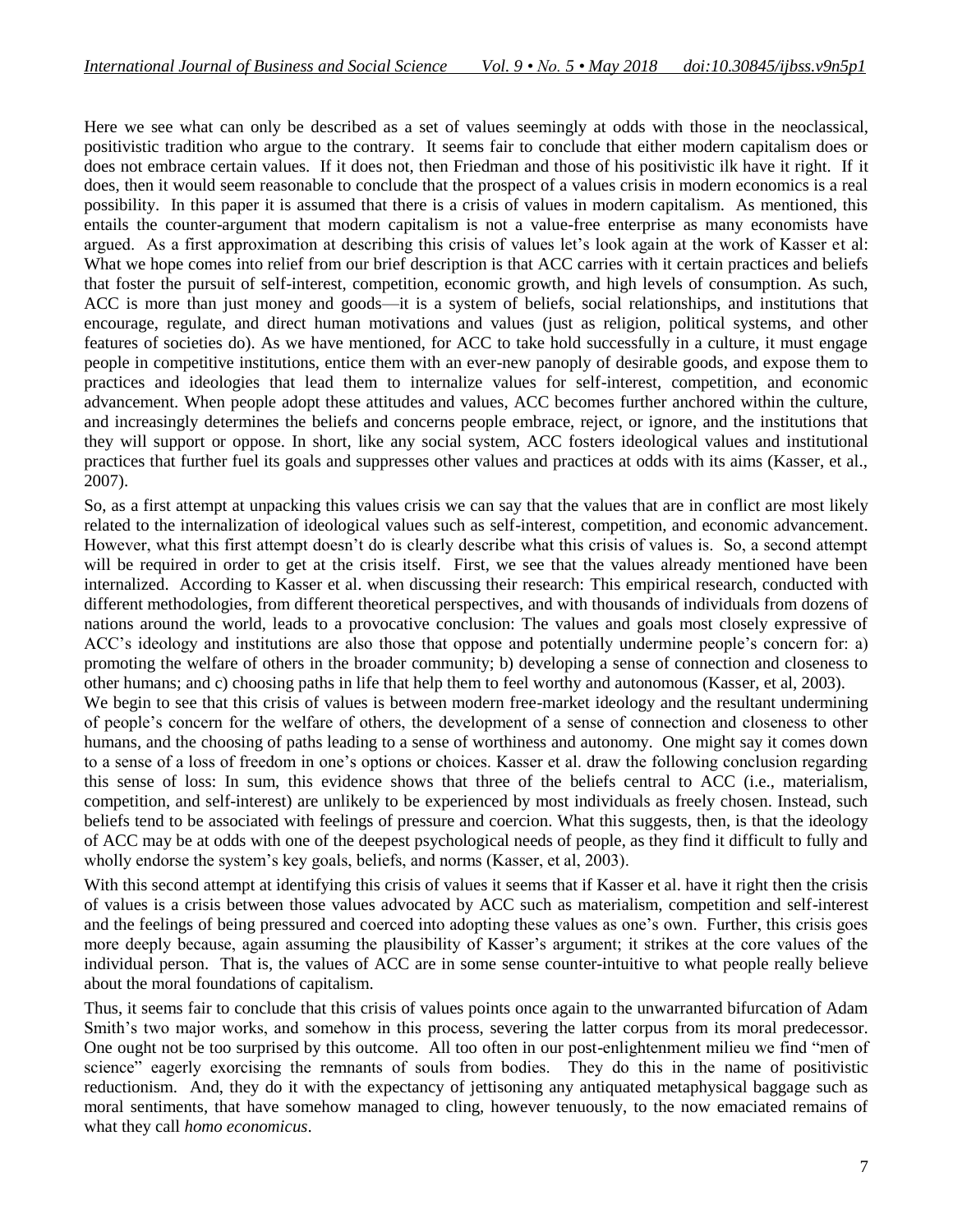Here we see what can only be described as a set of values seemingly at odds with those in the neoclassical, positivistic tradition who argue to the contrary. It seems fair to conclude that either modern capitalism does or does not embrace certain values. If it does not, then Friedman and those of his positivistic ilk have it right. If it does, then it would seem reasonable to conclude that the prospect of a values crisis in modern economics is a real possibility. In this paper it is assumed that there is a crisis of values in modern capitalism. As mentioned, this entails the counter-argument that modern capitalism is not a value-free enterprise as many economists have argued. As a first approximation at describing this crisis of values let's look again at the work of Kasser et al: What we hope comes into relief from our brief description is that ACC carries with it certain practices and beliefs that foster the pursuit of self-interest, competition, economic growth, and high levels of consumption. As such, ACC is more than just money and goods—it is a system of beliefs, social relationships, and institutions that encourage, regulate, and direct human motivations and values (just as religion, political systems, and other features of societies do). As we have mentioned, for ACC to take hold successfully in a culture, it must engage people in competitive institutions, entice them with an ever-new panoply of desirable goods, and expose them to practices and ideologies that lead them to internalize values for self-interest, competition, and economic advancement. When people adopt these attitudes and values, ACC becomes further anchored within the culture, and increasingly determines the beliefs and concerns people embrace, reject, or ignore, and the institutions that they will support or oppose. In short, like any social system, ACC fosters ideological values and institutional practices that further fuel its goals and suppresses other values and practices at odds with its aims (Kasser, et al., 2007).

So, as a first attempt at unpacking this values crisis we can say that the values that are in conflict are most likely related to the internalization of ideological values such as self-interest, competition, and economic advancement. However, what this first attempt doesn't do is clearly describe what this crisis of values is. So, a second attempt will be required in order to get at the crisis itself. First, we see that the values already mentioned have been internalized. According to Kasser et al. when discussing their research: This empirical research, conducted with different methodologies, from different theoretical perspectives, and with thousands of individuals from dozens of nations around the world, leads to a provocative conclusion: The values and goals most closely expressive of ACC's ideology and institutions are also those that oppose and potentially undermine people's concern for: a) promoting the welfare of others in the broader community; b) developing a sense of connection and closeness to other humans; and c) choosing paths in life that help them to feel worthy and autonomous (Kasser, et al, 2003).

We begin to see that this crisis of values is between modern free-market ideology and the resultant undermining of people's concern for the welfare of others, the development of a sense of connection and closeness to other humans, and the choosing of paths leading to a sense of worthiness and autonomy. One might say it comes down to a sense of a loss of freedom in one's options or choices. Kasser et al. draw the following conclusion regarding this sense of loss: In sum, this evidence shows that three of the beliefs central to ACC (i.e., materialism, competition, and self-interest) are unlikely to be experienced by most individuals as freely chosen. Instead, such beliefs tend to be associated with feelings of pressure and coercion. What this suggests, then, is that the ideology of ACC may be at odds with one of the deepest psychological needs of people, as they find it difficult to fully and wholly endorse the system's key goals, beliefs, and norms (Kasser, et al, 2003).

With this second attempt at identifying this crisis of values it seems that if Kasser et al. have it right then the crisis of values is a crisis between those values advocated by ACC such as materialism, competition and self-interest and the feelings of being pressured and coerced into adopting these values as one's own. Further, this crisis goes more deeply because, again assuming the plausibility of Kasser's argument; it strikes at the core values of the individual person. That is, the values of ACC are in some sense counter-intuitive to what people really believe about the moral foundations of capitalism.

Thus, it seems fair to conclude that this crisis of values points once again to the unwarranted bifurcation of Adam Smith's two major works, and somehow in this process, severing the latter corpus from its moral predecessor. One ought not be too surprised by this outcome. All too often in our post-enlightenment milieu we find "men of science" eagerly exorcising the remnants of souls from bodies. They do this in the name of positivistic reductionism. And, they do it with the expectancy of jettisoning any antiquated metaphysical baggage such as moral sentiments, that have somehow managed to cling, however tenuously, to the now emaciated remains of what they call *homo economicus*.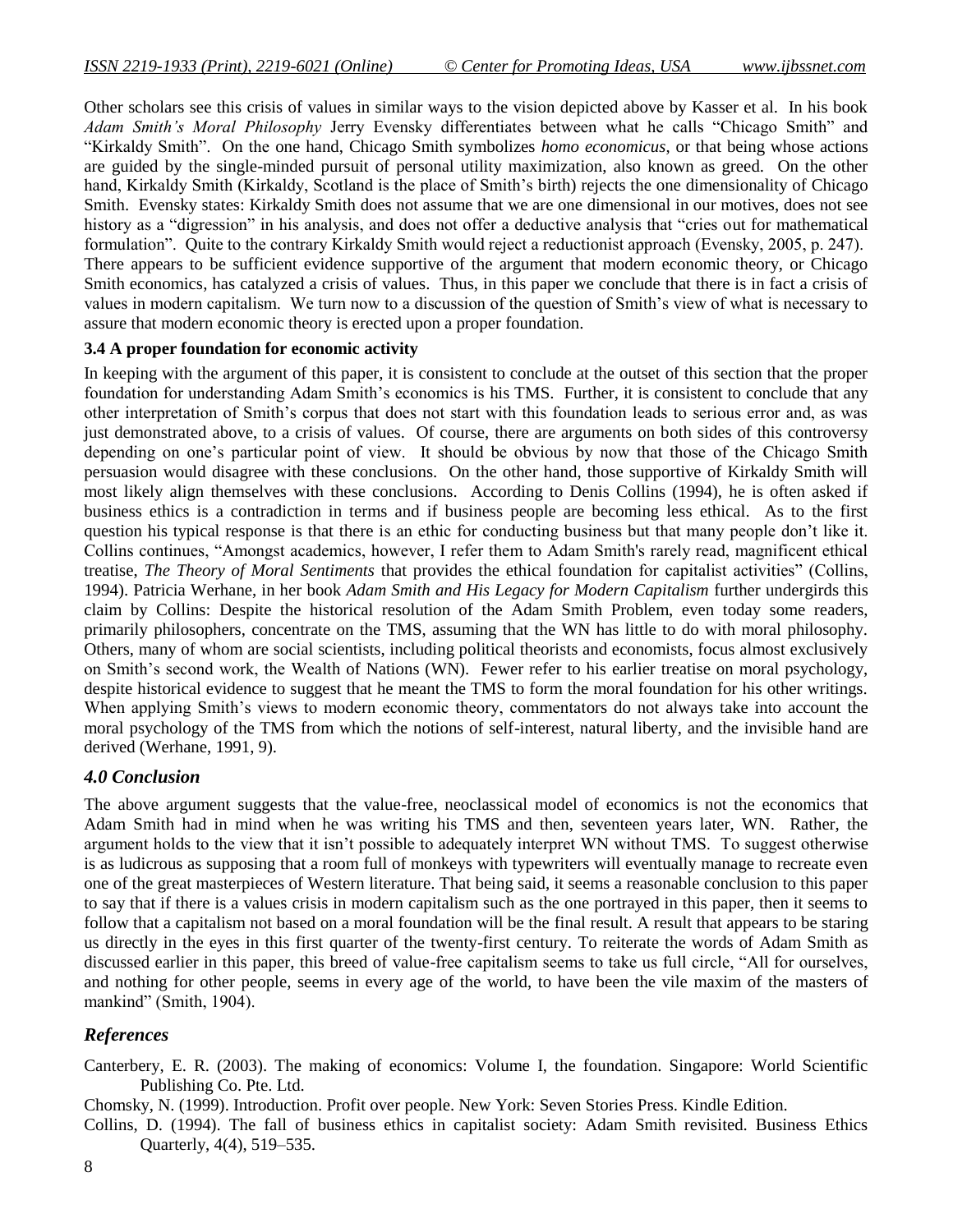Other scholars see this crisis of values in similar ways to the vision depicted above by Kasser et al. In his book *Adam Smith's Moral Philosophy* Jerry Evensky differentiates between what he calls "Chicago Smith" and ―Kirkaldy Smith‖. On the one hand, Chicago Smith symbolizes *homo economicus*, or that being whose actions are guided by the single-minded pursuit of personal utility maximization, also known as greed. On the other hand, Kirkaldy Smith (Kirkaldy, Scotland is the place of Smith's birth) rejects the one dimensionality of Chicago Smith. Evensky states: Kirkaldy Smith does not assume that we are one dimensional in our motives, does not see history as a "digression" in his analysis, and does not offer a deductive analysis that "cries out for mathematical formulation". Quite to the contrary Kirkaldy Smith would reject a reductionist approach (Evensky, 2005, p. 247). There appears to be sufficient evidence supportive of the argument that modern economic theory, or Chicago Smith economics, has catalyzed a crisis of values. Thus, in this paper we conclude that there is in fact a crisis of values in modern capitalism. We turn now to a discussion of the question of Smith's view of what is necessary to assure that modern economic theory is erected upon a proper foundation.

#### **3.4 A proper foundation for economic activity**

In keeping with the argument of this paper, it is consistent to conclude at the outset of this section that the proper foundation for understanding Adam Smith's economics is his TMS. Further, it is consistent to conclude that any other interpretation of Smith's corpus that does not start with this foundation leads to serious error and, as was just demonstrated above, to a crisis of values. Of course, there are arguments on both sides of this controversy depending on one's particular point of view. It should be obvious by now that those of the Chicago Smith persuasion would disagree with these conclusions. On the other hand, those supportive of Kirkaldy Smith will most likely align themselves with these conclusions. According to Denis Collins (1994), he is often asked if business ethics is a contradiction in terms and if business people are becoming less ethical. As to the first question his typical response is that there is an ethic for conducting business but that many people don't like it. Collins continues, "Amongst academics, however, I refer them to Adam Smith's rarely read, magnificent ethical treatise, *The Theory of Moral Sentiments* that provides the ethical foundation for capitalist activities" (Collins, 1994). Patricia Werhane, in her book *Adam Smith and His Legacy for Modern Capitalism* further undergirds this claim by Collins: Despite the historical resolution of the Adam Smith Problem, even today some readers, primarily philosophers, concentrate on the TMS, assuming that the WN has little to do with moral philosophy. Others, many of whom are social scientists, including political theorists and economists, focus almost exclusively on Smith's second work, the Wealth of Nations (WN). Fewer refer to his earlier treatise on moral psychology, despite historical evidence to suggest that he meant the TMS to form the moral foundation for his other writings. When applying Smith's views to modern economic theory, commentators do not always take into account the moral psychology of the TMS from which the notions of self-interest, natural liberty, and the invisible hand are derived (Werhane, 1991, 9).

## *4.0 Conclusion*

The above argument suggests that the value-free, neoclassical model of economics is not the economics that Adam Smith had in mind when he was writing his TMS and then, seventeen years later, WN. Rather, the argument holds to the view that it isn't possible to adequately interpret WN without TMS. To suggest otherwise is as ludicrous as supposing that a room full of monkeys with typewriters will eventually manage to recreate even one of the great masterpieces of Western literature. That being said, it seems a reasonable conclusion to this paper to say that if there is a values crisis in modern capitalism such as the one portrayed in this paper, then it seems to follow that a capitalism not based on a moral foundation will be the final result. A result that appears to be staring us directly in the eyes in this first quarter of the twenty-first century. To reiterate the words of Adam Smith as discussed earlier in this paper, this breed of value-free capitalism seems to take us full circle, "All for ourselves, and nothing for other people, seems in every age of the world, to have been the vile maxim of the masters of mankind" (Smith, 1904).

## *References*

Canterbery, E. R. (2003). The making of economics: Volume I, the foundation. Singapore: World Scientific Publishing Co. Pte. Ltd.

Chomsky, N. (1999). Introduction. Profit over people. New York: Seven Stories Press. Kindle Edition.

Collins, D. (1994). The fall of business ethics in capitalist society: Adam Smith revisited. Business Ethics Quarterly, 4(4), 519–535.